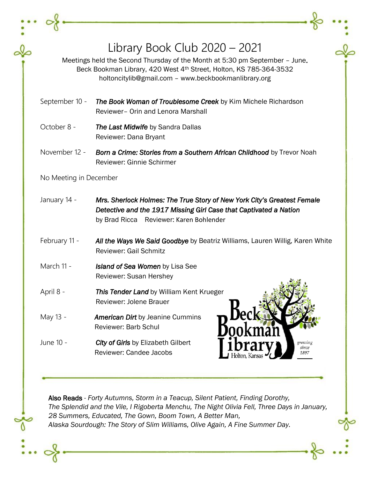|                        | Library Book Club $2020 - 2021$<br>Meetings held the Second Thursday of the Month at 5:30 pm September - June.<br>Beck Bookman Library, 420 West 4th Street, Holton, KS 785-364-3532<br>holtoncitylib@gmail.com - www.beckbookmanlibrary.org |  |
|------------------------|----------------------------------------------------------------------------------------------------------------------------------------------------------------------------------------------------------------------------------------------|--|
| September 10 -         | The Book Woman of Troublesome Creek by Kim Michele Richardson<br>Reviewer- Orin and Lenora Marshall                                                                                                                                          |  |
| October 8 -            | The Last Midwife by Sandra Dallas<br>Reviewer: Dana Bryant                                                                                                                                                                                   |  |
| November 12 -          | Born a Crime: Stories from a Southern African Childhood by Trevor Noah<br>Reviewer: Ginnie Schirmer                                                                                                                                          |  |
| No Meeting in December |                                                                                                                                                                                                                                              |  |
| January 14 -           | Mrs. Sherlock Holmes: The True Story of New York City's Greatest Female<br>Detective and the 1917 Missing Girl Case that Captivated a Nation<br>by Brad Ricca Reviewer: Karen Bohlender                                                      |  |
| February 11 -          | All the Ways We Said Goodbye by Beatriz Williams, Lauren Willig, Karen White<br><b>Reviewer: Gail Schmitz</b>                                                                                                                                |  |
| March 11 -             | <b>Island of Sea Women by Lisa See</b><br><b>Reviewer: Susan Hershey</b>                                                                                                                                                                     |  |
| April 8 -              | This Tender Land by William Kent Krueger<br>Reviewer: Jolene Brauer                                                                                                                                                                          |  |
| May 13 -               | ec<br><b>American Dirt</b> by Jeanine Cummins<br>Reviewer: Barb Schul                                                                                                                                                                        |  |
| June 10 -              | <b>City of Girls</b> by Elizabeth Gilbert<br>growing<br>since<br><b>Reviewer: Candee Jacobs</b><br>1897                                                                                                                                      |  |
|                        |                                                                                                                                                                                                                                              |  |

 $\overline{0}$ 

 $\overline{\mathbf{r}}$ 

 $\Omega$ 

Also Reads *- Forty Autumns, Storm in a Teacup, Silent Patient, Finding Dorothy, The Splendid and the Vile, I Rigoberta Menchu, The Night Olivia Fell, Three Days in January, 28 Summers, Educated, The Gown, Boom Town, A Better Man, Alaska Sourdough: The Story of Slim Williams, Olive Again, A Fine Summer Day.*